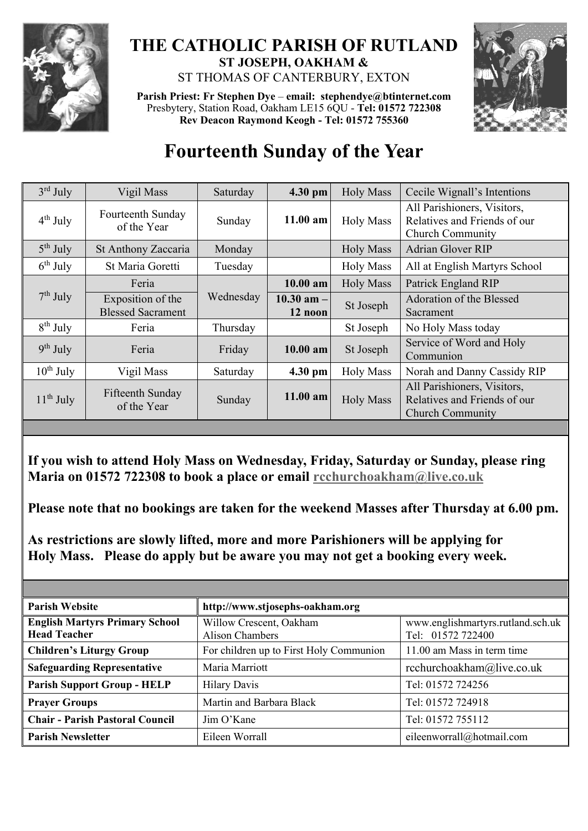

## **THE CATHOLIC PARISH OF RUTLAND ST JOSEPH, OAKHAM &**  ST THOMAS OF CANTERBURY, EXTON

**Parish Priest: Fr Stephen Dye** – **[email: stephendye@btinternet.com](mailto:email:%20%20stephendye@btinternet.com)** Presbytery, Station Road, Oakham LE15 6QU - **Tel: 01572 722308 Rev Deacon Raymond Keogh - Tel: 01572 755360**



## **Fourteenth Sunday of the Year**

| $3rd$ July           | Vigil Mass                                    | Saturday  | 4.30 pm                   | <b>Holy Mass</b> | Cecile Wignall's Intentions                                                            |
|----------------------|-----------------------------------------------|-----------|---------------------------|------------------|----------------------------------------------------------------------------------------|
| $4th$ July           | Fourteenth Sunday<br>of the Year              | Sunday    | $11.00$ am                | <b>Holy Mass</b> | All Parishioners, Visitors,<br>Relatives and Friends of our<br><b>Church Community</b> |
| $5th$ July           | St Anthony Zaccaria                           | Monday    |                           | <b>Holy Mass</b> | <b>Adrian Glover RIP</b>                                                               |
| $6^{\text{th}}$ July | St Maria Goretti                              | Tuesday   |                           | <b>Holy Mass</b> | All at English Martyrs School                                                          |
| $7th$ July           | Feria                                         | Wednesday | $10.00$ am                | <b>Holy Mass</b> | Patrick England RIP                                                                    |
|                      | Exposition of the<br><b>Blessed Sacrament</b> |           | $10.30$ am $-$<br>12 noon | St Joseph        | Adoration of the Blessed<br>Sacrament                                                  |
| $8^{th}$ July        | Feria                                         | Thursday  |                           | St Joseph        | No Holy Mass today                                                                     |
| $9th$ July           | Feria                                         | Friday    | $10.00$ am                | St Joseph        | Service of Word and Holy<br>Communion                                                  |
| $10^{th}$ July       | Vigil Mass                                    | Saturday  | 4.30 pm                   | <b>Holy Mass</b> | Norah and Danny Cassidy RIP                                                            |
| $11th$ July          | Fifteenth Sunday<br>of the Year               | Sunday    | $11.00$ am                | <b>Holy Mass</b> | All Parishioners, Visitors,<br>Relatives and Friends of our<br><b>Church Community</b> |

## **If you wish to attend Holy Mass on Wednesday, Friday, Saturday or Sunday, please ring Maria on 01572 722308 to book a place or email [rcchurchoakham@live.co.uk](mailto:rcchurchoakham@live.co.uk)**

**Please note that no bookings are taken for the weekend Masses after Thursday at 6.00 pm.**

**As restrictions are slowly lifted, more and more Parishioners will be applying for Holy Mass. Please do apply but be aware you may not get a booking every week.**

| <b>Parish Website</b>                                        | http://www.stjosephs-oakham.org            |                                                        |  |
|--------------------------------------------------------------|--------------------------------------------|--------------------------------------------------------|--|
| <b>English Martyrs Primary School</b><br><b>Head Teacher</b> | Willow Crescent, Oakham<br>Alison Chambers | www.englishmartyrs.rutland.sch.uk<br>Tel: 01572 722400 |  |
| <b>Children's Liturgy Group</b>                              | For children up to First Holy Communion    | 11.00 am Mass in term time                             |  |
| <b>Safeguarding Representative</b>                           | Maria Marriott                             | rcchurchoakham@live.co.uk                              |  |
| <b>Parish Support Group - HELP</b>                           | <b>Hilary Davis</b>                        | Tel: 01572 724256                                      |  |
| <b>Prayer Groups</b>                                         | Martin and Barbara Black                   | Tel: 01572 724918                                      |  |
| <b>Chair - Parish Pastoral Council</b>                       | Jim O'Kane                                 | Tel: 01572 755112                                      |  |
| <b>Parish Newsletter</b>                                     | Eileen Worrall                             | eileenworrall@hotmail.com                              |  |